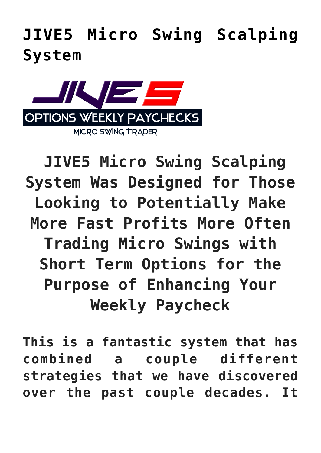**[JIVE5 Micro Swing Scalping](https://optionsweeklypaychecks.com/jive5-micro-swing-scalping-system/) [System](https://optionsweeklypaychecks.com/jive5-micro-swing-scalping-system/)**



 **JIVE5 Micro Swing Scalping System Was Designed for Those Looking to Potentially Make More Fast Profits More Often Trading Micro Swings with Short Term Options for the Purpose of Enhancing Your Weekly Paycheck**

**This is a fantastic system that has combined a couple different strategies that we have discovered over the past couple decades. It**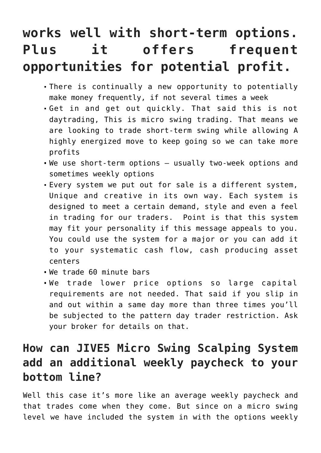## **works well with short-term options. Plus it offers frequent opportunities for potential profit.**

- There is continually a new opportunity to potentially make money frequently, if not several times a week
- Get in and get out quickly. That said this is not daytrading, This is micro swing trading. That means we are looking to trade short-term swing while allowing A highly energized move to keep going so we can take more profits
- We use short-term options usually two-week options and sometimes weekly options
- Every system we put out for sale is a different system, Unique and creative in its own way. Each system is designed to meet a certain demand, style and even a feel in trading for our traders. Point is that this system may fit your personality if this message appeals to you. You could use the system for a major or you can add it to your systematic cash flow, cash producing asset centers
- We trade 60 minute bars
- We trade lower price options so large capital requirements are not needed. That said if you slip in and out within a same day more than three times you'll be subjected to the pattern day trader restriction. Ask your broker for details on that.

## **How can JIVE5 Micro Swing Scalping System add an additional weekly paycheck to your bottom line?**

Well this case it's more like an average weekly paycheck and that trades come when they come. But since on a micro swing level we have included the system in with the options weekly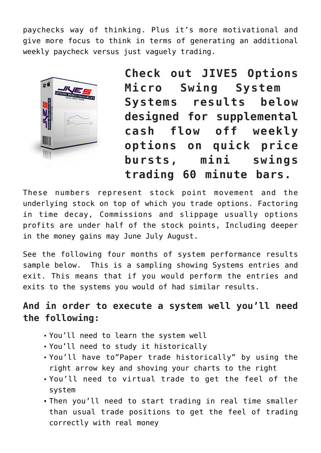paychecks way of thinking. Plus it's more motivational and give more focus to think in terms of generating an additional weekly paycheck versus just vaguely trading.



**Check out JIVE5 Options Micro Swing System Systems results below designed for supplemental cash flow off weekly options on quick price bursts, mini swings trading 60 minute bars.**

These numbers represent stock point movement and the underlying stock on top of which you trade options. Factoring in time decay, Commissions and slippage usually options profits are under half of the stock points, Including deeper in the money gains may June July August.

See the following four months of system performance results sample below. This is a sampling showing Systems entries and exit. This means that if you would perform the entries and exits to the systems you would of had similar results.

**And in order to execute a system well you'll need the following:**

- You'll need to learn the system well
- You'll need to study it historically
- You'll have to"Paper trade historically" by using the right arrow key and shoving your charts to the right
- You'll need to virtual trade to get the feel of the system
- Then you'll need to start trading in real time smaller than usual trade positions to get the feel of trading correctly with real money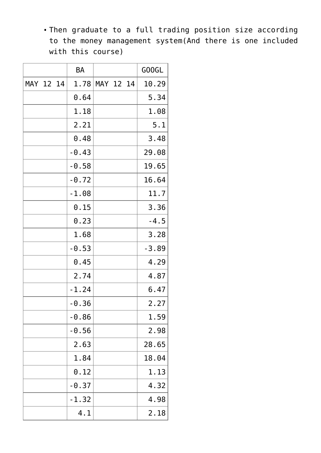Then graduate to a full trading position size according to the money management system(And there is one included with this course)

|           |  | <b>BA</b> |           |  | GOOGL   |
|-----------|--|-----------|-----------|--|---------|
| MAY 12 14 |  | 1.78      | MAY 12 14 |  | 10.29   |
|           |  | 0.64      |           |  | 5.34    |
|           |  | 1.18      |           |  | 1.08    |
|           |  | 2.21      |           |  | 5.1     |
|           |  | 0.48      |           |  | 3.48    |
|           |  | $-0.43$   |           |  | 29.08   |
|           |  | $-0.58$   |           |  | 19.65   |
|           |  | $-0.72$   |           |  | 16.64   |
|           |  | $-1.08$   |           |  | 11.7    |
|           |  | 0.15      |           |  | 3.36    |
|           |  | 0.23      |           |  | $-4.5$  |
|           |  | 1.68      |           |  | 3.28    |
|           |  | $-0.53$   |           |  | $-3.89$ |
|           |  | 0.45      |           |  | 4.29    |
|           |  | 2.74      |           |  | 4.87    |
|           |  | $-1.24$   |           |  | 6.47    |
|           |  | -0.36     |           |  | 2.27    |
|           |  | $-0.86$   |           |  | 1.59    |
|           |  | $-0.56$   |           |  | 2.98    |
|           |  | 2.63      |           |  | 28.65   |
|           |  | 1.84      |           |  | 18.04   |
|           |  | 0.12      |           |  | 1.13    |
|           |  | $-0.37$   |           |  | 4.32    |
|           |  | $-1.32$   |           |  | 4.98    |
|           |  | 4.1       |           |  | 2.18    |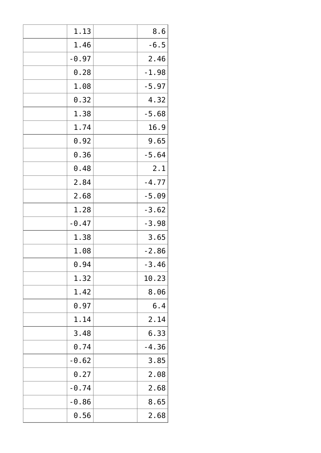| 1.13    | 8.6     |
|---------|---------|
| 1.46    | $-6.5$  |
| $-0.97$ | 2.46    |
| 0.28    | $-1.98$ |
| 1.08    | $-5.97$ |
| 0.32    | 4.32    |
| 1.38    | $-5.68$ |
| 1.74    | 16.9    |
| 0.92    | 9.65    |
| 0.36    | $-5.64$ |
| 0.48    | 2.1     |
| 2.84    | $-4.77$ |
| 2.68    | $-5.09$ |
| 1.28    | $-3.62$ |
| $-0.47$ | $-3.98$ |
| 1.38    | 3.65    |
| 1.08    | $-2.86$ |
| 0.94    | $-3.46$ |
| 1.32    | 10.23   |
| 1.42    | 8.06    |
| 0.97    | 6.4     |
| 1.14    | 2.14    |
| 3.48    | 6.33    |
| 0.74    | $-4.36$ |
| $-0.62$ | 3.85    |
| 0.27    | 2.08    |
| $-0.74$ | 2.68    |
| $-0.86$ | 8.65    |
| 0.56    | 2.68    |